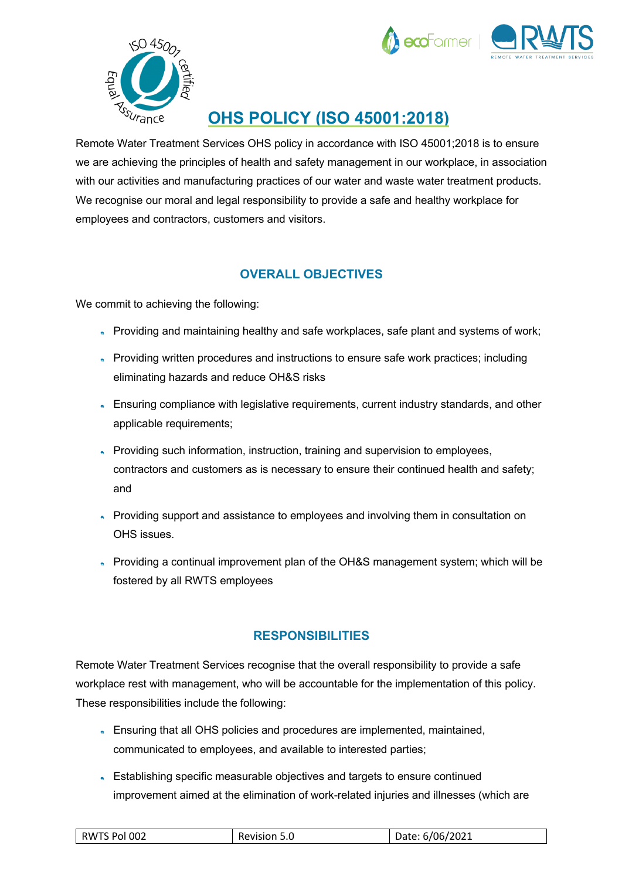



## **OHS POLICY (ISO 45001:2018)**

Remote Water Treatment Services OHS policy in accordance with ISO 45001;2018 is to ensure we are achieving the principles of health and safety management in our workplace, in association with our activities and manufacturing practices of our water and waste water treatment products. We recognise our moral and legal responsibility to provide a safe and healthy workplace for employees and contractors, customers and visitors.

## **OVERALL OBJECTIVES**

We commit to achieving the following:

- Providing and maintaining healthy and safe workplaces, safe plant and systems of work;
- Providing written procedures and instructions to ensure safe work practices; including eliminating hazards and reduce OH&S risks
- Ensuring compliance with legislative requirements, current industry standards, and other applicable requirements;
- Providing such information, instruction, training and supervision to employees, contractors and customers as is necessary to ensure their continued health and safety; and
- Providing support and assistance to employees and involving them in consultation on OHS issues.
- Providing a continual improvement plan of the OH&S management system; which will be fostered by all RWTS employees

## **RESPONSIBILITIES**

Remote Water Treatment Services recognise that the overall responsibility to provide a safe workplace rest with management, who will be accountable for the implementation of this policy. These responsibilities include the following:

- Ensuring that all OHS policies and procedures are implemented, maintained, communicated to employees, and available to interested parties;
- Establishing specific measurable objectives and targets to ensure continued improvement aimed at the elimination of work-related injuries and illnesses (which are

| RWTS Pol 002 | Revision 5.0 | Date: 6/06/2021 |
|--------------|--------------|-----------------|
|--------------|--------------|-----------------|